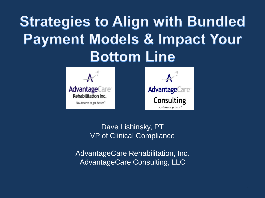## **Strategies to Align with Bundled Payment Models & Impact Your Bottom Line**





Dave Lishinsky, PT VP of Clinical Compliance

AdvantageCare Rehabilitation, Inc. AdvantageCare Consulting, LLC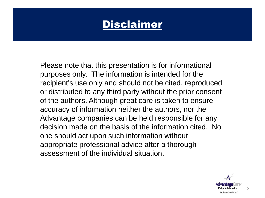#### **Disclaimer**

Please note that this presentation is for informational purposes only. The information is intended for the recipient's use only and should not be cited, reproduced or distributed to any third party without the prior consent of the authors. Although great care is taken to ensure accuracy of information neither the authors, nor the Advantage companies can be held responsible for any decision made on the basis of the information cited. No one should act upon such information without appropriate professional advice after a thorough assessment of the individual situation.

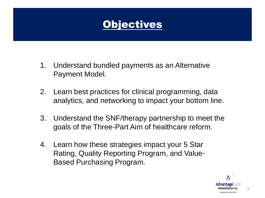#### **Objectives**

- 1. Understand bundled payments as an Alternative Payment Model.
- 2. Learn best practices for clinical programming, data analytics, and networking to impact your bottom line.
- 3. Understand the SNF/therapy partnership to meet the goals of the Three-Part Aim of healthcare reform.
- 4. Learn how these strategies impact your 5 Star Rating, Quality Reporting Program, and Value-Based Purchasing Program.

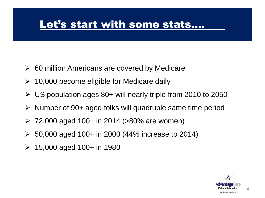#### Let's start with some stats….

- $\geq$  60 million Americans are covered by Medicare
- $\geq 10,000$  become eligible for Medicare daily
- $\triangleright$  US population ages 80+ will nearly triple from 2010 to 2050
- $\triangleright$  Number of 90+ aged folks will quadruple same time period
- $\geq 72,000$  aged 100+ in 2014 (>80% are women)
- $\geq$  50,000 aged 100+ in 2000 (44% increase to 2014)
- $\geq 15,000$  aged 100+ in 1980

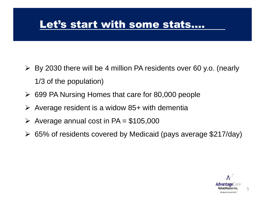#### Let's start with some stats….

- $\triangleright$  By 2030 there will be 4 million PA residents over 60 y.o. (nearly 1/3 of the population)
- $\geq$  699 PA Nursing Homes that care for 80,000 people
- $\triangleright$  Average resident is a widow 85+ with dementia
- $\triangleright$  Average annual cost in PA = \$105,000
- 65% of residents covered by Medicaid (pays average \$217/day)

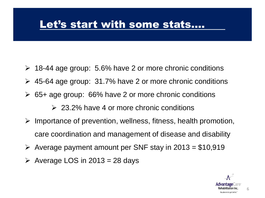#### Let's start with some stats….

- $\geq$  18-44 age group: 5.6% have 2 or more chronic conditions
- 45-64 age group: 31.7% have 2 or more chronic conditions
- $\geq$  65+ age group: 66% have 2 or more chronic conditions

 $\geq$  23.2% have 4 or more chronic conditions

- $\triangleright$  Importance of prevention, wellness, fitness, health promotion, care coordination and management of disease and disability
- $\triangleright$  Average payment amount per SNF stay in 2013 = \$10,919
- $\triangleright$  Average LOS in 2013 = 28 days

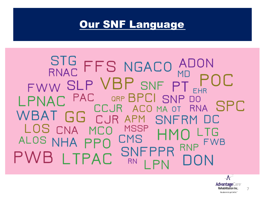#### **Our SNF Language**

STG FFS NGACO ADON<br>RNAC FFS NGACO MD DO FWW SLP VBP SNF PT LPNAC PAC ORP BPCI SNP DO<br>WBAT GG CJR ACO MA OT RNA SPC<br>UBAT GG CJR APM SNFRM DC WBAT GG CUR VBAT GG CUR APM<br>LOS CNA MCO MSSP **CMS** ALOS NHA P **FWB** RNP **SNFPPR** WB LTPAC **RN** 

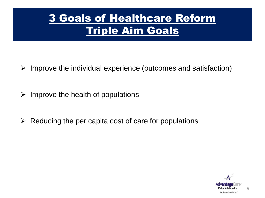### 3 Goals of Healthcare Reform Triple Aim Goals

- $\triangleright$  Improve the individual experience (outcomes and satisfaction)
- $\triangleright$  Improve the health of populations
- $\triangleright$  Reducing the per capita cost of care for populations

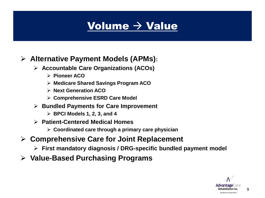### Volume  $\rightarrow$  Value

#### **Alternative Payment Models (APMs):**

- **Accountable Care Organizations (ACOs)** 
	- **Pioneer ACO**
	- **Medicare Shared Savings Program ACO**
	- **Next Generation ACO**
	- **Comprehensive ESRD Care Model**
- **Bundled Payments for Care Improvement** 
	- **BPCI Models 1, 2, 3, and 4**
- **Patient-Centered Medical Homes**
	- **Coordinated care through a primary care physician**
- **Comprehensive Care for Joint Replacement** 
	- **First mandatory diagnosis / DRG-specific bundled payment model**
- **Value-Based Purchasing Programs**

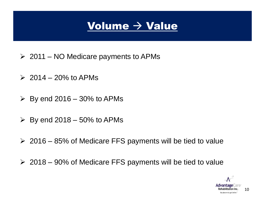### Volume  $\rightarrow$  Value

- $\geq 2011$  NO Medicare payments to APMs
- $\geq 2014 20\%$  to APMs
- $\triangleright$  By end 2016 30% to APMs
- $\triangleright$  By end 2018 50% to APMs
- $\geq 2016 85\%$  of Medicare FFS payments will be tied to value
- $\geq 2018 90\%$  of Medicare FFS payments will be tied to value

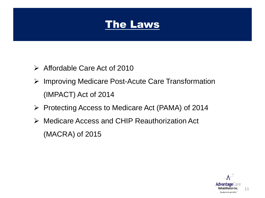

- $\triangleright$  Affordable Care Act of 2010
- Improving Medicare Post-Acute Care Transformation (IMPACT) Act of 2014
- $\triangleright$  Protecting Access to Medicare Act (PAMA) of 2014
- Medicare Access and CHIP Reauthorization Act (MACRA) of 2015

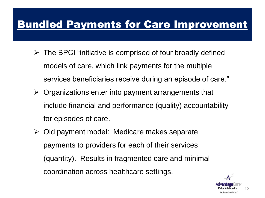- $\triangleright$  The BPCI "initiative is comprised of four broadly defined models of care, which link payments for the multiple services beneficiaries receive during an episode of care."
- $\triangleright$  Organizations enter into payment arrangements that include financial and performance (quality) accountability for episodes of care.
- $\triangleright$  Old payment model: Medicare makes separate payments to providers for each of their services (quantity). Results in fragmented care and minimal coordination across healthcare settings.

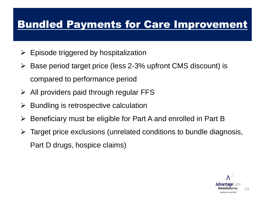- Episode triggered by hospitalization
- $\triangleright$  Base period target price (less 2-3% upfront CMS discount) is compared to performance period
- $\triangleright$  All providers paid through regular FFS
- $\triangleright$  Bundling is retrospective calculation
- $\triangleright$  Beneficiary must be eligible for Part A and enrolled in Part B
- Target price exclusions (unrelated conditions to bundle diagnosis, Part D drugs, hospice claims)

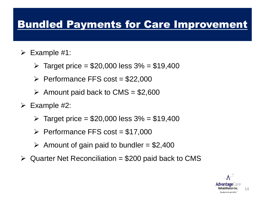#### $\triangleright$  Example #1:

- $\triangleright$  Target price = \$20,000 less 3% = \$19,400
- $\triangleright$  Performance FFS cost = \$22,000
- $\triangleright$  Amount paid back to CMS = \$2,600
- $\triangleright$  Example #2:
	- $\triangleright$  Target price = \$20,000 less 3% = \$19,400
	- $\triangleright$  Performance FFS cost = \$17,000
	- $\geq$  Amount of gain paid to bundler = \$2,400
- $\triangleright$  Quarter Net Reconciliation = \$200 paid back to CMS

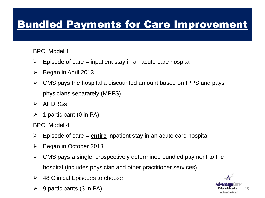#### BPCI Model 1

- $\triangleright$  Episode of care = inpatient stay in an acute care hospital
- $\triangleright$  Began in April 2013
- CMS pays the hospital a discounted amount based on IPPS and pays physicians separately (MPFS)
- $\triangleright$  All DRGs
- $\triangleright$  1 participant (0 in PA)

#### BPCI Model 4

- $\triangleright$  Episode of care = **<u>entire</u>** inpatient stay in an acute care hospital
- $\triangleright$  Began in October 2013
- $\triangleright$  CMS pays a single, prospectively determined bundled payment to the hospital (includes physician and other practitioner services)
- $\triangleright$  48 Clinical Episodes to choose
- 9 participants (3 in PA)

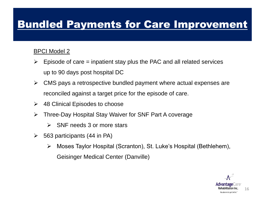#### BPCI Model 2

- $\triangleright$  Episode of care = inpatient stay plus the PAC and all related services up to 90 days post hospital DC
- $\triangleright$  CMS pays a retrospective bundled payment where actual expenses are reconciled against a target price for the episode of care.
- $\triangleright$  48 Clinical Episodes to choose
- Three-Day Hospital Stay Waiver for SNF Part A coverage
	- $\triangleright$  SNF needs 3 or more stars
- $\geq$  563 participants (44 in PA)
	- Moses Taylor Hospital (Scranton), St. Luke's Hospital (Bethlehem), Geisinger Medical Center (Danville)

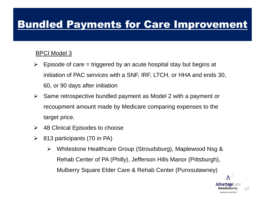#### BPCI Model 3

- $\triangleright$  Episode of care = triggered by an acute hospital stay but begins at initiation of PAC services with a SNF, IRF, LTCH, or HHA and ends 30, 60, or 90 days after initiation
- $\triangleright$  Same retrospective bundled payment as Model 2 with a payment or recoupment amount made by Medicare comparing expenses to the target price.
- $\triangleright$  48 Clinical Episodes to choose
- $\triangleright$  813 participants (70 in PA)
	- Whitestone Healthcare Group (Stroudsburg), Maplewood Nsg & Rehab Center of PA (Philly), Jefferson Hills Manor (Pittsburgh), Mulberry Square Elder Care & Rehab Center (Punxsutawney)

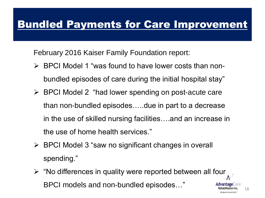February 2016 Kaiser Family Foundation report:

- BPCI Model 1 "was found to have lower costs than nonbundled episodes of care during the initial hospital stay"
- BPCI Model 2 "had lower spending on post-acute care than non-bundled episodes…..due in part to a decrease in the use of skilled nursing facilities….and an increase in the use of home health services."
- BPCI Model 3 "saw no significant changes in overall spending."
- $\triangleright$  "No differences in quality were reported between all four BPCI models and non-bundled episodes…"Advantag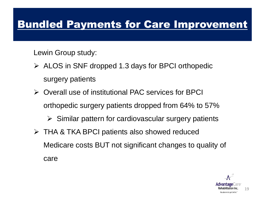Lewin Group study:

- $\triangleright$  ALOS in SNF dropped 1.3 days for BPCI orthopedic surgery patients
- Overall use of institutional PAC services for BPCI orthopedic surgery patients dropped from 64% to 57%
	- $\triangleright$  Similar pattern for cardiovascular surgery patients
- > THA & TKA BPCI patients also showed reduced Medicare costs BUT not significant changes to quality of care

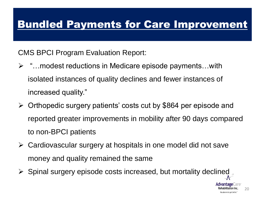CMS BPCI Program Evaluation Report:

- "…modest reductions in Medicare episode payments…with isolated instances of quality declines and fewer instances of increased quality."
- Orthopedic surgery patients' costs cut by \$864 per episode and reported greater improvements in mobility after 90 days compared to non-BPCI patients
- Cardiovascular surgery at hospitals in one model did not save money and quality remained the same
- $\triangleright$  Spinal surgery episode costs increased, but mortality declined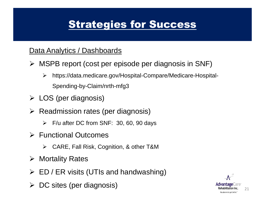#### Data Analytics / Dashboards

- $\triangleright$  MSPB report (cost per episode per diagnosis in SNF)
	- https://data.medicare.gov/Hospital-Compare/Medicare-Hospital-Spending-by-Claim/nrth-mfg3
- $\triangleright$  LOS (per diagnosis)
- $\triangleright$  Readmission rates (per diagnosis)
	- $\triangleright$  F/u after DC from SNF: 30, 60, 90 days
- Functional Outcomes
	- CARE, Fall Risk, Cognition, & other T&M
- $\triangleright$  Mortality Rates
- $\triangleright$  ED / ER visits (UTIs and handwashing)
- $\triangleright$  DC sites (per diagnosis)

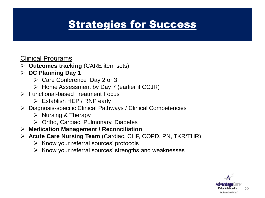#### Clinical Programs

- **Outcomes tracking** (CARE item sets)
- **DC Planning Day 1**
	- $\triangleright$  Care Conference Day 2 or 3
	- $\triangleright$  Home Assessment by Day 7 (earlier if CCJR)
- Functional-based Treatment Focus
	- $\triangleright$  Establish HEP / RNP early
- ▶ Diagnosis-specific Clinical Pathways / Clinical Competencies
	- $\triangleright$  Nursing & Therapy
	- ▶ Ortho, Cardiac, Pulmonary, Diabetes
- **Medication Management / Reconciliation**
- **Acute Care Nursing Team** (Cardiac, CHF, COPD, PN, TKR/THR)
	- $\triangleright$  Know your referral sources' protocols
	- $\triangleright$  Know your referral sources' strengths and weaknesses

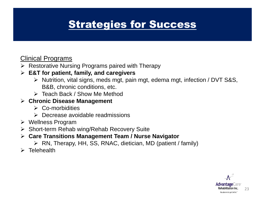#### Clinical Programs

- $\triangleright$  Restorative Nursing Programs paired with Therapy
- **E&T for patient, family, and caregivers**
	- $\triangleright$  Nutrition, vital signs, meds mgt, pain mgt, edema mgt, infection / DVT S&S, B&B, chronic conditions, etc.
	- Teach Back / Show Me Method

#### **Chronic Disease Management**

- $\triangleright$  Co-morbidities
- $\triangleright$  Decrease avoidable readmissions
- Wellness Program
- $\triangleright$  Short-term Rehab wing/Rehab Recovery Suite
- **Care Transitions Management Team / Nurse Navigator**
	- $\triangleright$  RN, Therapy, HH, SS, RNAC, dietician, MD (patient / family)
- $\triangleright$  Telehealth

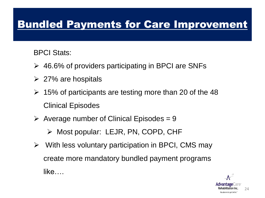**BPCI Stats:** 

- $\triangleright$  46.6% of providers participating in BPCI are SNFs
- $\geq$  27% are hospitals
- $\geq$  15% of participants are testing more than 20 of the 48 Clinical Episodes
- $\triangleright$  Average number of Clinical Episodes = 9

Most popular: LEJR, PN, COPD, CHF

 $\triangleright$  With less voluntary participation in BPCI, CMS may create more mandatory bundled payment programs like….

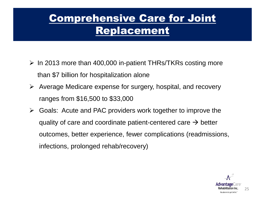### Comprehensive Care for Joint Replacement

- $\triangleright$  In 2013 more than 400,000 in-patient THRs/TKRs costing more than \$7 billion for hospitalization alone
- $\triangleright$  Average Medicare expense for surgery, hospital, and recovery ranges from \$16,500 to \$33,000
- $\triangleright$  Goals: Acute and PAC providers work together to improve the quality of care and coordinate patient-centered care  $\rightarrow$  better outcomes, better experience, fewer complications (readmissions, infections, prolonged rehab/recovery)

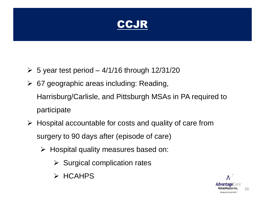

- $\geq$  5 year test period 4/1/16 through 12/31/20
- 67 geographic areas including: Reading, Harrisburg/Carlisle, and Pittsburgh MSAs in PA required to participate
- $\triangleright$  Hospital accountable for costs and quality of care from surgery to 90 days after (episode of care)
	- $\triangleright$  Hospital quality measures based on:
		- $\triangleright$  Surgical complication rates
		- $\triangleright$  HCAHPS

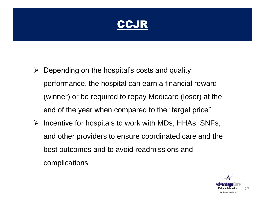

- $\triangleright$  Depending on the hospital's costs and quality performance, the hospital can earn a financial reward (winner) or be required to repay Medicare (loser) at the end of the year when compared to the "target price"
- $\triangleright$  Incentive for hospitals to work with MDs, HHAs, SNFs, and other providers to ensure coordinated care and the best outcomes and to avoid readmissions and complications

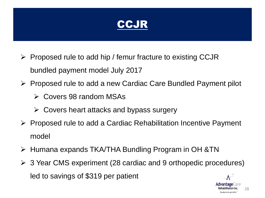

- $\triangleright$  Proposed rule to add hip / femur fracture to existing CCJR bundled payment model July 2017
- $\triangleright$  Proposed rule to add a new Cardiac Care Bundled Payment pilot
	- Covers 98 random MSAs
	- $\triangleright$  Covers heart attacks and bypass surgery
- $\triangleright$  Proposed rule to add a Cardiac Rehabilitation Incentive Payment model
- Humana expands TKA/THA Bundling Program in OH &TN
- 3 Year CMS experiment (28 cardiac and 9 orthopedic procedures) led to savings of \$319 per patient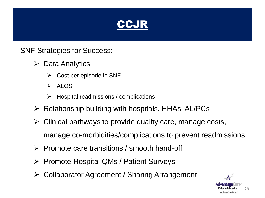

SNF Strategies for Success:

- $\triangleright$  Data Analytics
	- $\triangleright$  Cost per episode in SNF
	- $\triangleright$  ALOS
	- $\triangleright$  Hospital readmissions / complications
- $\triangleright$  Relationship building with hospitals, HHAs, AL/PCs
- $\triangleright$  Clinical pathways to provide quality care, manage costs, manage co-morbidities/complications to prevent readmissions
- $\triangleright$  Promote care transitions / smooth hand-off
- **► Promote Hospital QMs / Patient Surveys**
- Collaborator Agreement / Sharing Arrangement

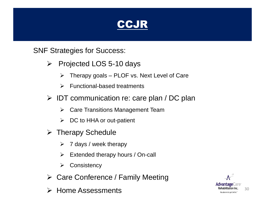

SNF Strategies for Success:

- $\triangleright$  Projected LOS 5-10 days
	- $\triangleright$  Therapy goals PLOF vs. Next Level of Care
	- $\triangleright$  Functional-based treatments
- $\triangleright$  IDT communication re: care plan / DC plan
	- **▶ Care Transitions Management Team**
	- $\triangleright$  DC to HHA or out-patient
- $\triangleright$  Therapy Schedule
	- $\triangleright$  7 days / week therapy
	- $\triangleright$  Extended therapy hours / On-call
	- $\triangleright$  Consistency
- Care Conference / Family Meeting
- $\triangleright$  Home Assessments

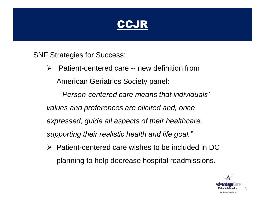

SNF Strategies for Success:

- $\triangleright$  Patient-centered care -- new definition from American Geriatrics Society panel: *"Person-centered care means that individuals' values and preferences are elicited and, once expressed, guide all aspects of their healthcare, supporting their realistic health and life goal."*
- $\triangleright$  Patient-centered care wishes to be included in DC planning to help decrease hospital readmissions.

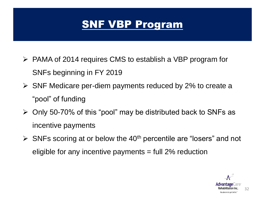- PAMA of 2014 requires CMS to establish a VBP program for SNFs beginning in FY 2019
- $\triangleright$  SNF Medicare per-diem payments reduced by 2% to create a "pool" of funding
- $\triangleright$  Only 50-70% of this "pool" may be distributed back to SNFs as incentive payments
- $\triangleright$  SNFs scoring at or below the 40<sup>th</sup> percentile are "losers" and not eligible for any incentive payments  $=$  full 2% reduction

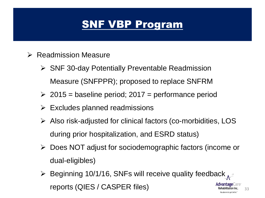- $\triangleright$  Readmission Measure
	- $\triangleright$  SNF 30-day Potentially Preventable Readmission Measure (SNFPPR); proposed to replace SNFRM
	- $\geq 2015$  = baseline period; 2017 = performance period
	- $\triangleright$  Excludes planned readmissions
	- $\triangleright$  Also risk-adjusted for clinical factors (co-morbidities, LOS during prior hospitalization, and ESRD status)
	- Does NOT adjust for sociodemographic factors (income or dual-eligibles)
	- $\triangleright$  Beginning 10/1/16, SNFs will receive quality feedback  $\triangleright$ Advantage reports (QIES / CASPER files)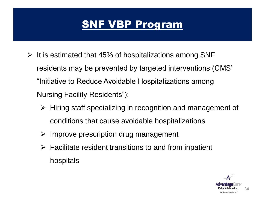- $\triangleright$  It is estimated that 45% of hospitalizations among SNF residents may be prevented by targeted interventions (CMS' "Initiative to Reduce Avoidable Hospitalizations among Nursing Facility Residents"):
	- $\triangleright$  Hiring staff specializing in recognition and management of conditions that cause avoidable hospitalizations
	- $\triangleright$  Improve prescription drug management
	- $\triangleright$  Facilitate resident transitions to and from inpatient hospitals

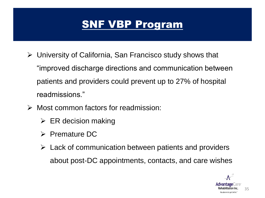- University of California, San Francisco study shows that "improved discharge directions and communication between patients and providers could prevent up to 27% of hospital readmissions."
- $\triangleright$  Most common factors for readmission:
	- $\triangleright$  ER decision making
	- $\triangleright$  Premature DC
	- $\triangleright$  Lack of communication between patients and providers about post-DC appointments, contacts, and care wishes

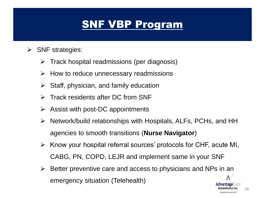- $\triangleright$  SNF strategies:
	- $\triangleright$  Track hospital readmissions (per diagnosis)
	- $\triangleright$  How to reduce unnecessary readmissions
	- $\triangleright$  Staff, physician, and family education
	- $\triangleright$  Track residents after DC from SNF
	- $\triangleright$  Assist with post-DC appointments
	- $\triangleright$  Network/build relationships with Hospitals, ALFs, PCHs, and HH agencies to smooth transitions (**Nurse Navigator**)
	- $\triangleright$  Know your hospital referral sources' protocols for CHF, acute MI, CABG, PN, COPD, LEJR and implement same in your SNF
	- $\triangleright$  Better preventive care and access to physicians and NPs in an emergency situation (Telehealth)Advantage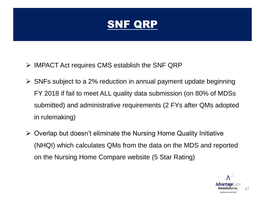

- $\triangleright$  IMPACT Act requires CMS establish the SNF QRP
- $\triangleright$  SNFs subject to a 2% reduction in annual payment update beginning FY 2018 if fail to meet ALL quality data submission (on 80% of MDSs submitted) and administrative requirements (2 FYs after QMs adopted in rulemaking)
- $\triangleright$  Overlap but doesn't eliminate the Nursing Home Quality Initiative (NHQI) which calculates QMs from the data on the MDS and reported on the Nursing Home Compare website (5 Star Rating)

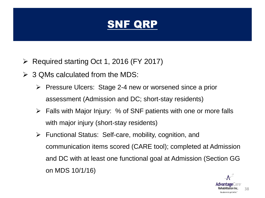

- $\triangleright$  Required starting Oct 1, 2016 (FY 2017)
- $\triangleright$  3 QMs calculated from the MDS:
	- $\triangleright$  Pressure Ulcers: Stage 2-4 new or worsened since a prior assessment (Admission and DC; short-stay residents)
	- $\triangleright$  Falls with Major Injury: % of SNF patients with one or more falls with major injury (short-stay residents)
	- Functional Status: Self-care, mobility, cognition, and communication items scored (CARE tool); completed at Admission and DC with at least one functional goal at Admission (Section GG on MDS 10/1/16)

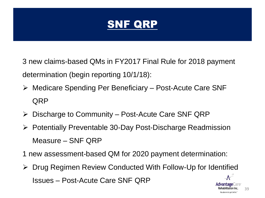

3 new claims-based QMs in FY2017 Final Rule for 2018 payment determination (begin reporting 10/1/18):

- Medicare Spending Per Beneficiary Post-Acute Care SNF **QRP**
- $\triangleright$  Discharge to Community Post-Acute Care SNF QRP
- Potentially Preventable 30-Day Post-Discharge Readmission Measure – SNF QRP
- 1 new assessment-based QM for 2020 payment determination:
- Drug Regimen Review Conducted With Follow-Up for Identified Issues – Post-Acute Care SNF QRPAdvantag

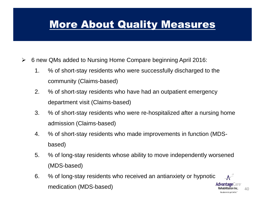#### More About Quality Measures

- $\triangleright$  6 new QMs added to Nursing Home Compare beginning April 2016:
	- 1. % of short-stay residents who were successfully discharged to the community (Claims-based)
	- 2. % of short-stay residents who have had an outpatient emergency department visit (Claims-based)
	- 3. % of short-stay residents who were re-hospitalized after a nursing home admission (Claims-based)
	- 4. % of short-stay residents who made improvements in function (MDSbased)
	- 5. % of long-stay residents whose ability to move independently worsened (MDS-based)
	- 6. % of long-stay residents who received an antianxiety or hypnotic  $\mathcal{N}$ **AdvantageCare** medication (MDS-based)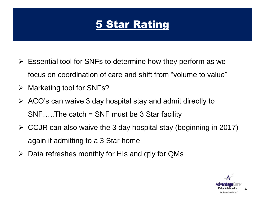### 5 Star Rating

- $\triangleright$  Essential tool for SNFs to determine how they perform as we focus on coordination of care and shift from "volume to value"
- $\triangleright$  Marketing tool for SNFs?
- $\triangleright$  ACO's can waive 3 day hospital stay and admit directly to SNF…..The catch = SNF must be 3 Star facility
- $\triangleright$  CCJR can also waive the 3 day hospital stay (beginning in 2017) again if admitting to a 3 Star home
- $\triangleright$  Data refreshes monthly for HIs and qtly for QMs

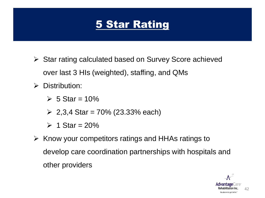### 5 Star Rating

- $\triangleright$  Star rating calculated based on Survey Score achieved over last 3 HIs (weighted), staffing, and QMs
- > Distribution:
	- $> 5$  Star = 10%
	- $\geq$  2,3,4 Star = 70% (23.33% each)
	- $\geq 1$  Star = 20%
- $\triangleright$  Know your competitors ratings and HHAs ratings to develop care coordination partnerships with hospitals and other providers

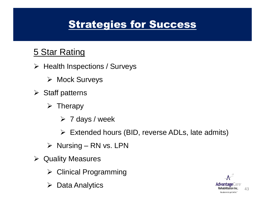#### 5 Star Rating

- $\triangleright$  Health Inspections / Surveys
	- Mock Surveys
- $\triangleright$  Staff patterns
	- $\triangleright$  Therapy
		- $\triangleright$  7 days / week
		- $\triangleright$  Extended hours (BID, reverse ADLs, late admits)
	- $\triangleright$  Nursing RN vs. LPN
- $\triangleright$  Quality Measures
	- $\triangleright$  Clinical Programming
	- $\triangleright$  Data Analytics

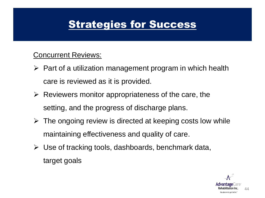#### Concurrent Reviews:

- $\triangleright$  Part of a utilization management program in which health care is reviewed as it is provided.
- $\triangleright$  Reviewers monitor appropriateness of the care, the setting, and the progress of discharge plans.
- $\triangleright$  The ongoing review is directed at keeping costs low while maintaining effectiveness and quality of care.
- $\triangleright$  Use of tracking tools, dashboards, benchmark data, target goals

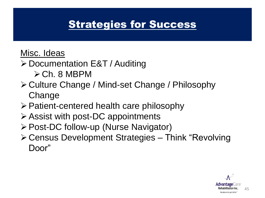#### Misc. Ideas

- **≻ Documentation E&T / Auditing** 
	- $\triangleright$  Ch. 8 MBPM
- Culture Change / Mind-set Change / Philosophy Change
- $\triangleright$  Patient-centered health care philosophy
- $\triangleright$  Assist with post-DC appointments
- Post-DC follow-up (Nurse Navigator)
- Census Development Strategies Think "Revolving Door"

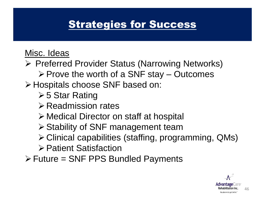#### Misc. Ideas

▶ Preferred Provider Status (Narrowing Networks)  $\triangleright$  Prove the worth of a SNF stay – Outcomes Hospitals choose SNF based on:  $>$  5 Star Rating

- $\triangleright$  Readmission rates
- Medical Director on staff at hospital
- $\triangleright$  Stability of SNF management team
- Clinical capabilities (staffing, programming, QMs)
- Patient Satisfaction
- $\triangleright$  Future = SNF PPS Bundled Payments

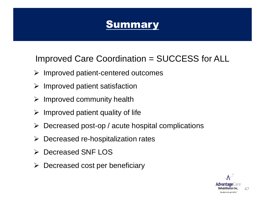#### **Summary**

Improved Care Coordination = SUCCESS for ALL

- $\triangleright$  Improved patient-centered outcomes
- $\triangleright$  Improved patient satisfaction
- $\triangleright$  Improved community health
- $\triangleright$  Improved patient quality of life
- $\triangleright$  Decreased post-op / acute hospital complications
- $\triangleright$  Decreased re-hospitalization rates
- **▶ Decreased SNF LOS**
- $\triangleright$  Decreased cost per beneficiary